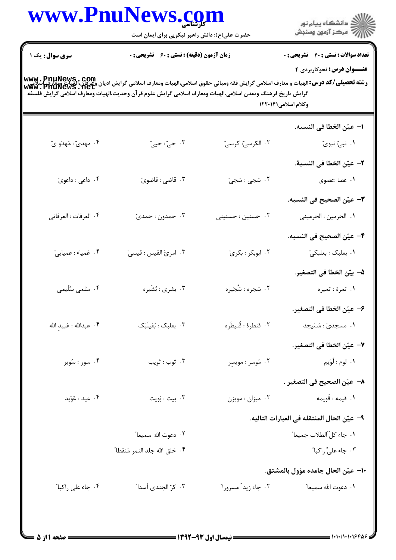|                          | www.PnuNews.co                                                                                                                                                              |                           | ڪ دانشڪاه پيام نور<br>ر∕ = سڪز آزمون وسنڊش   |
|--------------------------|-----------------------------------------------------------------------------------------------------------------------------------------------------------------------------|---------------------------|----------------------------------------------|
|                          | حضرت علی(ع): دانش راهبر نیکویی برای ایمان است                                                                                                                               |                           |                                              |
| <b>سری سوال :</b> یک ۱   | <b>زمان آزمون (دقیقه) : تستی : 60 ٪ تشریحی : 0</b>                                                                                                                          |                           | <b>تعداد سوالات : تستی : 40 ٪ تشریحی : 0</b> |
|                          | www . PnuNews , Com<br>  <b>رشته تحصیلی/کد درس:</b> الهیات و معارف اسلامی گرایش فقه ومبانی حقوق اسلامی،الهیات ومعارف اسلامی گرایش ادیان وعی اسلامی<br>  www . PnuNews . Net |                           | <b>عنـــوان درس:</b> نحوکاربردی ۴            |
|                          | گرايش تاريخ فرهنگ وتمدن اسلامي،الهيات ومعارف اسلامي گرايش علوم قرآن وحديث،الهيات ومعارف اسلامي گرايش فلسفه                                                                  |                           |                                              |
|                          |                                                                                                                                                                             |                           | وكلام اسلامى١٢٢٠١۴١                          |
|                          |                                                                                                                                                                             |                           | ا–  عيّن الخطا في النسبه.                    |
| ۰۴ مهدیّ : مَهدَو یّ     | ۰۳ حيّ : حييّ                                                                                                                                                               | ۰۲ الکرسیّ: کرسیّ         | ۰۱ نبیّ: نبویّ                               |
|                          |                                                                                                                                                                             |                           | ۲- عيّن الخطا في النسبهٔ.                    |
| ۰۴ داعي : داعويّ         | . قاضي : قاضوي                                                                                                                                                              | ۲. شجی : شجی <del>ّ</del> | ۰۱ عصا :عصوى                                 |
|                          |                                                                                                                                                                             |                           | <b>٣</b> – عيّن الصحيح في النسبه.            |
| ۰۴ العرفات : العرفاتي    | ۰۳ حمدون : حمدیّ                                                                                                                                                            | ۰۲ حسنین : حسنینی         | ٠١ الحرمين : الحرميني                        |
|                          |                                                                                                                                                                             |                           | ۴– عيّن الصحيح في النسبه.                    |
| ۰۴ عُمياء: عميايي        | ٠٣ امرئ القيس : قيسيّ                                                                                                                                                       | ۰۲ ابوبکر : بکریّ         | ۰۱ بعلبک : بعلبکیّ                           |
|                          |                                                                                                                                                                             |                           | <mark>4</mark> – بيّن الخطا في التصغير.      |
| ۰۴ سَلمی سُلَیمی         | ۰۳ بشری : بُشَيره                                                                                                                                                           | ۲. شجره : شُجَيره         | ۱. تمرهٔ : تمیره                             |
|                          |                                                                                                                                                                             |                           | ۶– عيّن الخطا في التصغير.                    |
| ۰۴ عبدالله : عُبيدِ الله | ۰۳ بعلبک : بُعَيلَبَک                                                                                                                                                       | ٢. قنطرة : قُنيطَره       | ۰۱ مسجدیّ : مُسَیجد                          |
|                          |                                                                                                                                                                             |                           | <mark>∀</mark> – عيّن الخطا في التصغير.      |
| ۰۴ سور : سُوير           | ۰۳ ژوب : ثويب                                                                                                                                                               | ۰۲ مُوسر : مويسِر         | <b>۱.</b> لوم : لُوَيم                       |
|                          |                                                                                                                                                                             |                           | ٨–  عيّن الصحيح في التصغير .                 |
| ۰۴ عید : عُوَید          | ۰۳ بيت : بُويت                                                                                                                                                              | ۰۲ میزان : مویزن          | ١. قيمه : قُويمه                             |
|                          |                                                                                                                                                                             |                           | ٩– عيّن الحال المنتقله في العبارات التاليه.  |
|                          | ۰۲ دعوت الله سمیعا"                                                                                                                                                         |                           | ٠١. جاء كلَّ الطلاب جميعا ً                  |
|                          | ۴ . خلق الله جلد النمر مُنقطا ؒ                                                                                                                                             |                           | ۰۳ جاء عليٌّ راکبا ؒ                         |
|                          |                                                                                                                                                                             |                           | ∙١- عيّن الحال جامده مؤول بالمشتق.           |
| ۰۴ جاء على راكبا"        | ۰۳ كرّ الجندى أسدا"                                                                                                                                                         | ٢. جاء زيد ً مسرورا ً     | <b>۱.</b> دعوت الله سميعا"                   |
|                          |                                                                                                                                                                             |                           |                                              |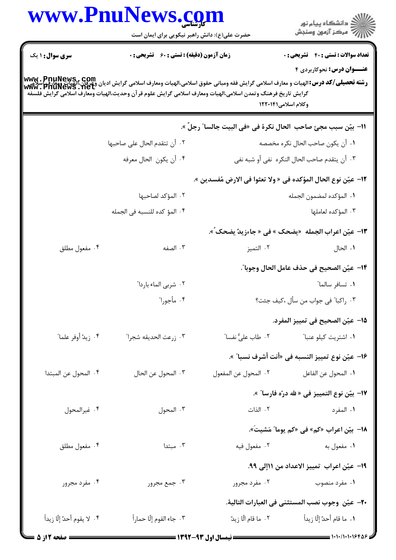|                            | www.PnuNews.com<br>حضرت علی(ع): دانش راهبر نیکویی برای ایمان است                                                                                                 |                      | ِ<br>∭ دانشڪاه پيام نور<br>∭ مرڪز آزمون وسنڊش                                                                                                                                                                                                                                             |
|----------------------------|------------------------------------------------------------------------------------------------------------------------------------------------------------------|----------------------|-------------------------------------------------------------------------------------------------------------------------------------------------------------------------------------------------------------------------------------------------------------------------------------------|
| <b>سری سوال : ۱ یک</b>     | <b>زمان آزمون (دقیقه) : تستی : 60 ٪ تشریحی : 0</b><br>گرايش تاريخ فرهنگ وتمدن اسلامي،الهيات ومعارف اسلامي گرايش علوم قرآن وحديث،الهيات ومعارف اسلامي گرايش فلسفه |                      | <b>تعداد سوالات : تستی : 40 ٪ تشریحی : 0</b><br><b>عنـــوان درس:</b> نحوکاربردی ۴<br> www . PnuNews , Com<br>و <b>شته تحصیلی/کد درس:</b> الهیات و معارف اسلامی گرایش فقه ومبانی حقوق اسلامی،الهیات ومعارف اسلامی گرایش ادیان وعی این اسلامی<br> www . PnuNewS . Net<br>وكلام اسلامي1۲۰۱۴۱ |
|                            |                                                                                                                                                                  |                      | ١١− بيّن سبب مجئ صاحب  الحال نكرة في «في البيت جالسا″ رجلّ ».                                                                                                                                                                                                                             |
|                            | ٢. أن تتقدم الحال على صاحبها<br>۴. أن يكون الحال معرفه                                                                                                           |                      | ٠١ أن يكون صاحب الحال نكره مخصصه<br>٣. أن يتقدم صاحب الحال النكره  نفي أو شبه نفي                                                                                                                                                                                                         |
|                            |                                                                                                                                                                  |                      | ١٢– عيّن نوع الحال المؤكده في « ولا تعثوا في الارض مُفسدين ».                                                                                                                                                                                                                             |
|                            | ٢. المؤكد لصاحبها                                                                                                                                                |                      | ٠١. المؤكده لمضمون الجمله                                                                                                                                                                                                                                                                 |
|                            | ۰۴ المؤ كده للنسبه في الجمله                                                                                                                                     |                      | ۰۳ المؤكده لعاملها                                                                                                                                                                                                                                                                        |
|                            |                                                                                                                                                                  |                      | 1۳– عيّن اعراب الجمله  «يضحک » في « جاءزيدٌ يضحک ٌ».                                                                                                                                                                                                                                      |
| ۰۴ مفعول مطلق              | ۰۳ الصفه                                                                                                                                                         | ۰۲ التميز            | ٠١. الحال                                                                                                                                                                                                                                                                                 |
|                            |                                                                                                                                                                  |                      | 1۴– عيّن الصحيح في حذف عامل الحال وجوبا″.                                                                                                                                                                                                                                                 |
|                            | ٠٢ شربي الماء باردا"                                                                                                                                             |                      | ۰۱ تسافر سالما"                                                                                                                                                                                                                                                                           |
|                            | ۰۴ مأجورا"                                                                                                                                                       |                      | ٣. راكبا" في جواب من سأل ،كيف جئت؟                                                                                                                                                                                                                                                        |
|                            |                                                                                                                                                                  |                      | 1۵– عيّن الصحيح في تمييز المفرد.                                                                                                                                                                                                                                                          |
| ۰۴ زيدٌ أوفر علماً"        | ٠٣ زرعت الحديقه شجرا"                                                                                                                                            |                      | ۰۱ اشتریت کیلو عنبا ً سماست <sup>۲</sup> ۰ طاب علیِّ نفسا ً                                                                                                                                                                                                                               |
|                            |                                                                                                                                                                  |                      | ۱۶− عيّن نوع تمييز النسبه في «أنت أشرف نسبا″ ».                                                                                                                                                                                                                                           |
| ۰۴ المحول عن المبتدا       | ٢. المحول عن الحال                                                                                                                                               | ٢. المحول عن المفعول | <b>١.</b> المحول عن الفاعل                                                                                                                                                                                                                                                                |
|                            |                                                                                                                                                                  |                      | <mark>\+</mark> بيّن نوع التمييز في « لله درّه فارسا″ ».                                                                                                                                                                                                                                  |
| ۰۴ غيرالمحول               | ۰۳ المحول                                                                                                                                                        |                      | ١. المفرد مسمود الذات                                                                                                                                                                                                                                                                     |
|                            |                                                                                                                                                                  |                      | 1٨- بيّن اعراب «كم» في «كم يوما″ مَشيتَ».                                                                                                                                                                                                                                                 |
| ۰۴ مفعول مطلق              | ۰۳ مېتدا                                                                                                                                                         |                      | ١. مفعول به معند المسلم المعنى المسلم المسلمين المسلم المسلمين المسلم المسلم المسلم المسلم المسلم ال                                                                                                                                                                                      |
|                            |                                                                                                                                                                  |                      | ١٩- عيّن اعراب تمييز الاعداد من ١١إلى ٩٩.                                                                                                                                                                                                                                                 |
| ۰۴ مفرد مجرور              | ۰۳ جمع مجرور                                                                                                                                                     |                      | ۰۱ مفرد منصوب مسلم ۲۰ مفرد مجرور <b>.</b>                                                                                                                                                                                                                                                 |
|                            |                                                                                                                                                                  |                      | + <b>٢-</b> عيّن  وجوب نصب المستثنى في العبارات التالية.                                                                                                                                                                                                                                  |
| ۰۴ لا يقوم أحدٌ إلّا زيداً | ٣. جاء القوم إلّا حماراً                                                                                                                                         | ۰۲ ما قام الّا زيدّ  | ١.  ما قام أحدٌ إلّا زيداً                                                                                                                                                                                                                                                                |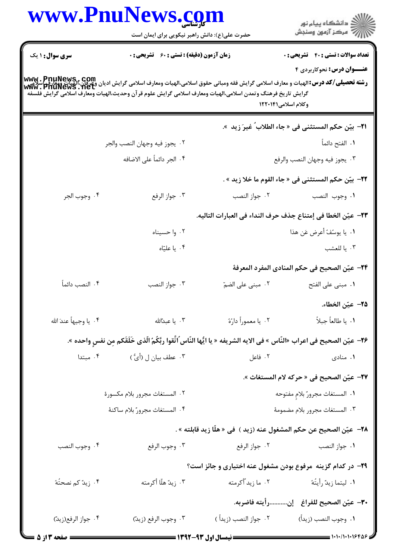|                         | www.PnuNews.com<br>حضرت علی(ع): دانش راهبر نیکویی برای ایمان است                                           |                        | ِ<br>∭ دانشڪاه پيام نور<br>∭ مرڪز آزمون وسنڊش                                                                                                                                                       |
|-------------------------|------------------------------------------------------------------------------------------------------------|------------------------|-----------------------------------------------------------------------------------------------------------------------------------------------------------------------------------------------------|
| <b>سری سوال : ۱ یک</b>  | <b>زمان آزمون (دقیقه) : تستی : 60 ٪ تشریحی : 0</b>                                                         |                        | <b>تعداد سوالات : تستی : 40 - تشریحی : .</b><br><b>عنـــوان درس:</b> نحوکاربردی ۴                                                                                                                   |
|                         | گرايش تاريخ فرهنگ وتمدن اسلامي،الهيات ومعارف اسلامي گرايش علوم قرآن وحديث،الهيات ومعارف اسلامي گرايش فلسفه |                        | www . PnuNews , com<br>و <b>شته تحصیلی/کد درس:</b> الهیات و معارف اسلامی گرایش فقه ومبانی حقوق اسلامی،الهیات ومعارف اسلامی گرایش دیگان،الهیات ومعارف<br> www . PnuNews . net<br>وكلام اسلامى١٢٢٠١۴١ |
|                         |                                                                                                            |                        | 11−  بيّن حكم المستثنى فى « جاء الطلاب ٌ غيرَ زيد  ».                                                                                                                                               |
|                         | ٠٢ يجوز فيه وجهان النصب والجر                                                                              |                        | ٠١ الفتح دائماً                                                                                                                                                                                     |
|                         | ۴ . الجر دائماً على الاضافه                                                                                |                        | ٣. يجوز فيه وجهان النصب والرفع                                                                                                                                                                      |
|                         |                                                                                                            |                        | ٢٢–  بيّن حكم المستثنى في « جاء القوم ما خلا زيد » .                                                                                                                                                |
| ۴. وجوب الجر            | ۰۳ جواز الرفع                                                                                              | ۰۲ جواز النصب          | ٠١. وجوب النصب                                                                                                                                                                                      |
|                         |                                                                                                            |                        | ٢٣– عيّن الخطا في إمتناع جذف حرف النداء في العبارات التاليه.                                                                                                                                        |
|                         | ۰۲ وا حسیناه                                                                                               |                        | ٠١. يا يوسُفُ أعرض عَن هذا                                                                                                                                                                          |
|                         | ۰۴ یا علیّاه                                                                                               |                        | ٠٣ يا للعشب                                                                                                                                                                                         |
|                         |                                                                                                            |                        | ٢۴– عيّن الصحيح في حكم المنادي المفرد المعرفة                                                                                                                                                       |
| ۴. النصب دائماً         | ۰۳ جواز النصب                                                                                              | ۰۲ مبنی علی الضمّ      | ٠١ مبنى على الفتح                                                                                                                                                                                   |
|                         |                                                                                                            |                        | ٢٥– عيّن الخطاء.                                                                                                                                                                                    |
| ۴ . يا وجيهاً عندَ الله | ۰۳ يا عبدالله                                                                                              | ۰۲ يا معموراً دارُهُ   | ٠١. يا طالعاً جبلاً                                                                                                                                                                                 |
|                         |                                                                                                            |                        | ٢۶− عيّن الصحيح في اعراب «النّاس » في الايه الشريفه « يا ايُّها النّاس ُاتَّقوا ربَّكُمُ الّذى خَلَقَكم مِن نفسِ واحده ».                                                                           |
| ۰۴ مبتدا                | ۴.  عطف بیان ل (أيُّ )                                                                                     |                        | ٢. فاعل<br>۰۱ منادی                                                                                                                                                                                 |
|                         |                                                                                                            |                        | <mark>٣٧</mark> – عيّن الصحيح في « حركه لام المستغاث ».                                                                                                                                             |
|                         | ٠٢ المستغاث مجرور بلام مكسورة                                                                              |                        | ٠١ المستغاث مجرورٌ بلامٍ مفتوحه                                                                                                                                                                     |
|                         | ۴. المستغاث مجرورٌ بلام ساكنهٔ                                                                             |                        | ٣. المستغاث مجرور بلام مضمومهٔ                                                                                                                                                                      |
|                         |                                                                                                            |                        | 1 <b>٨− عيّن الصحيح عن حكم المشغول عنه (زيد )</b> في « هلّا زيد قابلته » .                                                                                                                          |
| ۰۴ وجوب النصب           |                                                                                                            |                        |                                                                                                                                                                                                     |
|                         |                                                                                                            |                        | ۲۹- در کدام گزینه مرفوع بودن مشغول عنه اختیاری و جائز است؟                                                                                                                                          |
| ۰۴ زیدٌ کم نصحتُهُ      | ۰۳ زيد ٌهلّا أكرمته                                                                                        |                        |                                                                                                                                                                                                     |
|                         |                                                                                                            |                        | ٣٠— عيّن الصحيح للفراغ _ إنرأيته فاضربه.                                                                                                                                                            |
| ۰۴ جواز الرفع(زيدّ)     | ۰۳ وجوب الرفع (زيدّ)                                                                                       | ۰۲ جواز النصب (زيداً ) | ١. وجوب النصب (زيداً)                                                                                                                                                                               |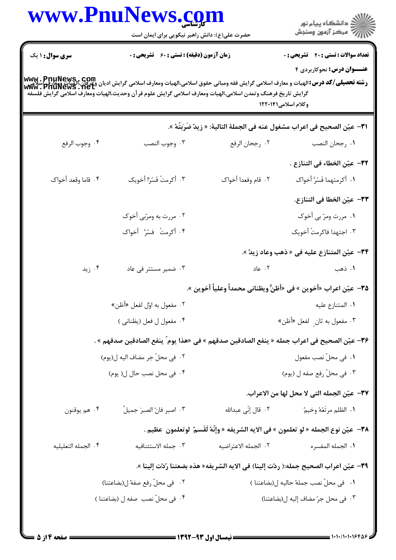| www.PnuNews.com                                    |                                                                                                            | ڪ دانشڪاه پيا <sub>م</sub> نور<br>ر <i>7</i> مرڪز آزمون وسنڊش                                                                                                                            |
|----------------------------------------------------|------------------------------------------------------------------------------------------------------------|------------------------------------------------------------------------------------------------------------------------------------------------------------------------------------------|
| حضرت علی(ع): دانش راهبر نیکویی برای ایمان است      |                                                                                                            |                                                                                                                                                                                          |
| <b>زمان آزمون (دقیقه) : تستی : 60 ٪ تشریحی : 0</b> |                                                                                                            | <b>تعداد سوالات : تستی : 40 ٪ تشریحی : 0</b>                                                                                                                                             |
|                                                    |                                                                                                            | <b>عنـــوان درس:</b> نحوکاربردی ۴                                                                                                                                                        |
|                                                    | گرايش تاريخ فرهنگ وتمدن اسلامى،الهيات ومعارف اسلامى گرايش علوم قرآن وحديث،الهيات ومعارف اسلامى گرايش فلسفه | <b>www . PnuNews , com</b><br><b>رشته تحصیلی/کد درس:</b> الهیات و معارف اسلامی گرایش فقه ومبانی حقوق اسلامی،الهیات ومعارف اسلامی گرایش ادیان وعرفان،الهیات ویعارف<br>Www . PnuNewS . net |
|                                                    |                                                                                                            | وكلام اسلامى١٢٢٠١۴١                                                                                                                                                                      |
|                                                    |                                                                                                            | ٣١– عيّن الصحيح في اعراب مشغول عنه في الجملة التالية: « زِيدٌ ضَرَبَتُهُ ».                                                                                                              |
| ۰۳ وجوب النصب                                      | ٠٢ رجحان الرفع                                                                                             | ٠١. رجحان النصب                                                                                                                                                                          |
|                                                    |                                                                                                            | ٣٢– عيّن الخطاء في التنازع .                                                                                                                                                             |
| ۰۳ أكرمتُ فَسُرّا أخويك                            | ٢. قام وفعدا أخواك                                                                                         | ٠١. أكرمتهما فَسُرَّ أخواك                                                                                                                                                               |
|                                                    |                                                                                                            | ٣٣– عيّن الخطا في التنازع.                                                                                                                                                               |
| ۰۲ مررت به ومرّبي أخوک                             |                                                                                                            | ۰۱ مررت ومرّ بي أخوک                                                                                                                                                                     |
| ۴. أكرمتُ فسُرَّ أخواك                             |                                                                                                            | ۰۳ اجتهدا فاكرمتُ أخويك                                                                                                                                                                  |
|                                                    |                                                                                                            | ٣۴– عيّن المتنازع عليه في « ذهب وعاد زيدٌ ».                                                                                                                                             |
| ۰۳ ضمیر مستتر فی عاد                               | ۰۲ عاد                                                                                                     | ۰۱ ذهب                                                                                                                                                                                   |
|                                                    |                                                                                                            | <b>٣۵</b> – عيّن اعراب «أخوين » في «أظنُّ ويظناني محمداً وعلياً أخوين ».                                                                                                                 |
| ۰۲ مفعول به اوّل لفعل «أظن»                        |                                                                                                            | ٠١ المتنازع عليه                                                                                                                                                                         |
| ۰۴ مفعول ل فعل (يظناني )                           | ۰۳ مفعول به ثان ٍ لفعل «أظن»                                                                               |                                                                                                                                                                                          |
|                                                    |                                                                                                            | ٣۶— عيّن الصحيح في اعراب جمله « ينفع الصادقين صدقهم » في «هذا يوم ٌ ينفع الصادقين صدقهم » .                                                                                              |
| ٢. في محلّ جر مضاف اليه ل(يوم)                     |                                                                                                            | ٠١ في محلّ نصب مفعول                                                                                                                                                                     |
| ۰۴ فی محل نصب حال ل( یوم)                          | ۰۳ في محلّ رفع صفه ل (يوم)                                                                                 |                                                                                                                                                                                          |
|                                                    |                                                                                                            | ٣٧- عيّن الجمله التي لا محل لها من الاعراب.                                                                                                                                              |
| ٠٣ اصبر فانّ الصبرَ جميلٌ                          | ۰۲ قال إنّي عبدالله                                                                                        | ٠١. الظلم مرتَعُهُ وخيمٌ                                                                                                                                                                 |
|                                                    |                                                                                                            | ٣٨-  عيّن نوع الجمله « لو تعلمون » في الايه الشريفه « وإنَّهُ لَقَسمٌ  لوتعلمون  عظيم .                                                                                                  |
| ٠٣ جمله الاستئنافيه                                | ٢. الجمله الاعتراضيه                                                                                       | ٠١. الجمله المفسره                                                                                                                                                                       |
|                                                    |                                                                                                            | ٣٩- عيّن اعراب الصحيح جمله:( ردّت إلينا) في الايه الشريفه« هذه بضعتنا رُدّت إلينا ».                                                                                                     |
| ٠٢ في محلّ رفع صفة ل(بضاعتنا)                      |                                                                                                            | ٠١ فى محلّ نصب جملهٌ حاليه ل(بضاعتنا)                                                                                                                                                    |
| ۰۴ في محلّ نصب صفه ل (بضاعتنا )                    |                                                                                                            | ٠٣ في محل جرّ مضاف إليه ل(بضاعتنا)                                                                                                                                                       |